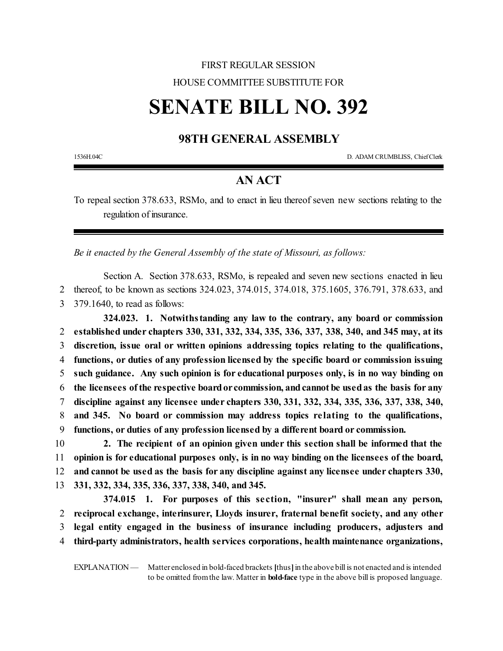## FIRST REGULAR SESSION HOUSE COMMITTEE SUBSTITUTE FOR

# **SENATE BILL NO. 392**

### **98TH GENERAL ASSEMBLY**

1536H.04C D. ADAM CRUMBLISS, ChiefClerk

#### **AN ACT**

To repeal section 378.633, RSMo, and to enact in lieu thereof seven new sections relating to the regulation of insurance.

*Be it enacted by the General Assembly of the state of Missouri, as follows:*

Section A. Section 378.633, RSMo, is repealed and seven new sections enacted in lieu 2 thereof, to be known as sections 324.023, 374.015, 374.018, 375.1605, 376.791, 378.633, and 3 379.1640, to read as follows:

**324.023. 1. Notwithstanding any law to the contrary, any board or commission established under chapters 330, 331, 332, 334, 335, 336, 337, 338, 340, and 345 may, at its discretion, issue oral or written opinions addressing topics relating to the qualifications, functions, or duties of any profession licensed by the specific board or commission issuing such guidance. Any such opinion is for educational purposes only, is in no way binding on the licensees ofthe respective boardor commission, andcannot be usedas the basis for any discipline against any licensee under chapters 330, 331, 332, 334, 335, 336, 337, 338, 340, and 345. No board or commission may address topics re lating to the qualifications, functions, or duties of any profession licensed by a different board or commission.**

 **2. The recipient of an opinion given under this section shall be informed that the opinion is for educational purposes only, is in no way binding on the licensees of the board, and cannot be used as the basis for any discipline against any licensee under chapters 330, 331, 332, 334, 335, 336, 337, 338, 340, and 345.**

**374.015 1. For purposes of this se ction, "insurer" shall mean any person, reciprocal exchange, interinsurer, Lloyds insurer, fraternal benefit society, and any other legal entity engaged in the business of insurance including producers, adjusters and third-party administrators, health services corporations, health maintenance organizations,**

EXPLANATION — Matter enclosed in bold-faced brackets **[**thus**]**in the above bill is not enacted and is intended to be omitted fromthe law. Matter in **bold-face** type in the above bill is proposed language.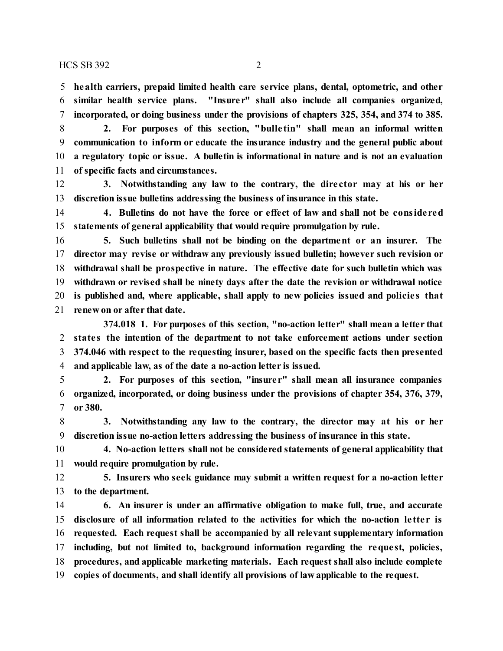**health carriers, prepaid limited health care service plans, dental, optometric, and other similar health service plans. "Insure r" shall also include all companies organized, incorporated, or doing business under the provisions of chapters 325, 354, and 374 to 385.**

 **2. For purposes of this section, "bulle tin" shall mean an informal written communication to inform or educate the insurance industry and the general public about a regulatory topic or issue. A bulletin is informational in nature and is not an evaluation of specific facts and circumstances.**

 **3. Notwithstanding any law to the contrary, the dire ctor may at his or her discretion issue bulletins addressing the business of insurance in this state.**

 **4. Bulletins do not have the force or effect of law and shall not be conside red statements of general applicability that would require promulgation by rule.**

 **5. Such bulletins shall not be binding on the department or an insurer. The director may revise or withdraw any previously issued bulletin; however such revision or withdrawal shall be prospective in nature. The effective date for such bulletin which was withdrawn or revised shall be ninety days after the date the revision or withdrawal notice is published and, where applicable, shall apply to new policies issued and policie s that renew on or after that date.**

**374.018 1. For purposes of this section, "no-action letter" shall mean a letter that state s the intention of the department to not take enforcement actions under section 374.046 with respect to the requesting insurer, based on the specific facts then presented and applicable law, as of the date a no-action letter is issued.**

 **2. For purposes of this section, "insure r" shall mean all insurance companies organized, incorporated, or doing business under the provisions of chapter 354, 376, 379, or 380.**

 **3. Notwithstanding any law to the contrary, the director may at his or her discretion issue no-action letters addressing the business of insurance in this state.**

 **4. No-action letters shall not be considered statements of general applicability that would require promulgation by rule.**

 **5. Insurers who seek guidance may submit a written request for a no-action letter to the department.**

 **6. An insurer is under an affirmative obligation to make full, true, and accurate disclosure of all information related to the activities for which the no-action le tte r is requested. Each request shall be accompanied by all relevant supplementary information including, but not limited to, background information regarding the reque st, policies, procedures, and applicable marketing materials. Each request shall also include complete copies of documents, and shall identify all provisions of law applicable to the request.**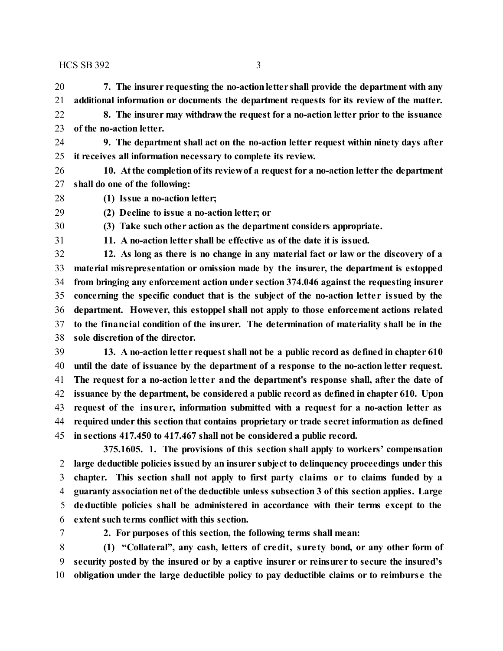$HCS$  SB 392  $\overline{3}$ 

 **7. The insurer requesting the no-actionletter shall provide the department with any additional information or documents the department requests for its review of the matter. 8. The insurer may withdraw the request for a no-action letter prior to the issuance of the no-action letter.**

 **9. The department shall act on the no-action letter request within ninety days after it receives all information necessary to complete its review.**

 **10. Atthe completionofits reviewof a request for a no-action letter the department shall do one of the following:**

**(1) Issue a no-action letter;**

**(2) Decline to issue a no-action letter; or**

**(3) Take such other action as the department considers appropriate.**

**11. A no-action letter shall be effective as of the date it is issued.**

 **12. As long as there is no change in any material fact or law or the discovery of a material misrepresentation or omission made by the insurer, the department is estopped from bringing any enforcement action under section 374.046 against the requesting insurer concerning the specific conduct that is the subject of the no-action lette r issued by the department. However, this estoppel shall not apply to those enforcement actions related to the financial condition of the insurer. The determination of materiality shall be in the sole discretion of the director.**

 **13. A no-action letter request shall not be a public record as defined in chapter 610 until the date of issuance by the department of a response to the no-action letter request. The request for a no-action le tte r and the department's response shall, after the date of issuance by the department, be considered a public record as defined in chapter 610. Upon request of the insure r, information submitted with a request for a no-action letter as required under this section that contains proprietary or trade secret information as defined in sections 417.450 to 417.467 shall not be considered a public record.**

**375.1605. 1. The provisions of this section shall apply to workers' compensation large deductible policies issued by an insurer subject to delinquency proceedings under this chapter. This section shall not apply to first party claims or to claims funded by a guaranty associationnet ofthe deductible unless subsection 3 of this section applies. Large deductible policies shall be administered in accordance with their terms except to the extent such terms conflict with this section.**

**2. For purposes of this section, the following terms shall mean:**

 **(1) "Collateral", any cash, letters of credit, sure ty bond, or any other form of security posted by the insured or by a captive insurer or reinsurer to secure the insured's obligation under the large deductible policy to pay deductible claims or to reimburse the**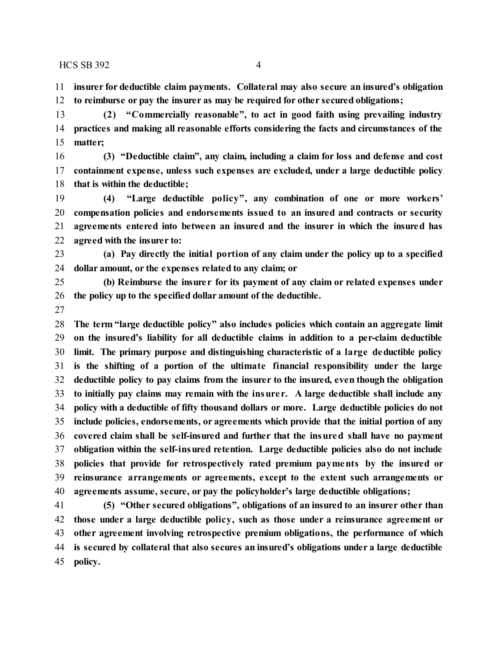$HCSSB 392$  4

 **insurer for deductible claim payments. Collateral may also secure an insured's obligation to reimburse or pay the insurer as may be required for other secured obligations;**

 **(2) "Commercially reasonable", to act in good faith using prevailing industry practices and making all reasonable efforts considering the facts and circumstances of the matter;**

 **(3) "Deductible claim", any claim, including a claim for loss and defense and cost containment expense, unless such expenses are excluded, under a large deductible policy that is within the deductible;**

 **(4) "Large deductible policy", any combination of one or more workers' compensation policies and endorsements issued to an insured and contracts or security agreements entered into between an insured and the insurer in which the insured has agreed with the insurer to:**

 **(a) Pay directly the initial portion of any claim under the policy up to a specified dollar amount, or the expenses related to any claim; or**

 **(b) Reimburse the insure r for its payment of any claim or related expenses under the policy up to the specified dollar amount of the deductible.**

 **The term "large deductible policy" also includes policies which contain an aggregate limit on the insured's liability for all deductible claims in addition to a per-claim deductible limit. The primary purpose and distinguishing characteristic of a large deductible policy is the shifting of a portion of the ultimate financial responsibility under the large deductible policy to pay claims from the insurer to the insured, even though the obligation to initially pay claims may remain with the insure r. A large deductible shall include any policy with a deductible of fifty thousand dollars or more. Large deductible policies do not include policies, endorsements, or agreements which provide that the initial portion of any covered claim shall be self-insured and further that the insured shall have no payment obligation within the self-insured retention. Large deductible policies also do not include policies that provide for retrospectively rated premium payments by the insured or reinsurance arrangements or agreements, except to the extent such arrangements or agreements assume, secure, or pay the policyholder's large deductible obligations;**

 **(5) "Other secured obligations", obligations of an insured to an insurer other than those under a large deductible policy, such as those under a reinsurance agreement or other agreement involving retrospective premium obligations, the performance of which is secured by collateral that also secures an insured's obligations under a large deductible policy.**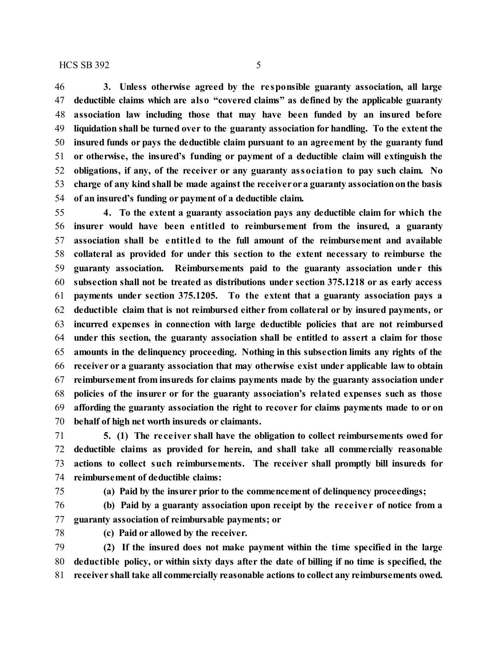**3. Unless otherwise agreed by the re sponsible guaranty association, all large deductible claims which are also "covered claims" as defined by the applicable guaranty association law including those that may have been funded by an insured before liquidation shall be turned over to the guaranty association for handling. To the extent the insured funds or pays the deductible claim pursuant to an agreement by the guaranty fund or otherwise, the insured's funding or payment of a deductible claim will extinguish the obligations, if any, of the receiver or any guaranty association to pay such claim. No charge of any kind shall be made against the receiverora guaranty associationonthe basis**

**of an insured's funding or payment of a deductible claim.**

 **4. To the extent a guaranty association pays any deductible claim for which the insurer would have been entitled to reimbursement from the insured, a guaranty association shall be entitled to the full amount of the reimbursement and available collateral as provided for under this section to the extent necessary to reimburse the guaranty association. Reimbursements paid to the guaranty association unde r this subsection shall not be treated as distributions under section 375.1218 or as early access payments under section 375.1205. To the extent that a guaranty association pays a deductible claim that is not reimbursed either from collateral or by insured payments, or incurred expenses in connection with large deductible policies that are not reimbursed under this section, the guaranty association shall be entitled to assert a claim for those amounts in the delinquency proceeding. Nothing in this subsection limits any rights of the receiver or a guaranty association that may otherwise exist under applicable law to obtain reimbursement from insureds for claims payments made by the guaranty association under policies of the insurer or for the guaranty association's related expenses such as those affording the guaranty association the right to recover for claims payments made to or on behalf of high net worth insureds or claimants.**

 **5. (1) The re ce iver shall have the obligation to collect reimbursements owed for deductible claims as provided for herein, and shall take all commercially reasonable actions to collect such reimbursements. The receiver shall promptly bill insureds for reimbursement of deductible claims:**

**(a) Paid by the insurer prior to the commencement of delinquency proceedings;**

 **(b) Paid by a guaranty association upon receipt by the re ce ive r of notice from a guaranty association of reimbursable payments; or**

**(c) Paid or allowed by the receiver.**

 **(2) If the insured does not make payment within the time specified in the large deductible policy, or within sixty days after the date of billing if no time is specified, the receiver shall take all commercially reasonable actions to collect any reimbursements owed.**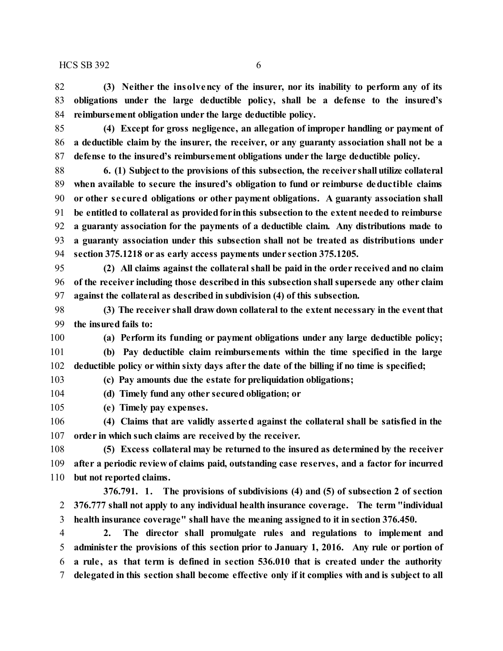**(3) Neither the insolvency of the insurer, nor its inability to perform any of its obligations under the large deductible policy, shall be a defense to the insured's reimbursement obligation under the large deductible policy.**

 **(4) Except for gross negligence, an allegation of improper handling or payment of a deductible claim by the insurer, the receiver, or any guaranty association shall not be a defense to the insured's reimbursement obligations under the large deductible policy.**

 **6. (1) Subjectto the provisions of this subsection, the receiver shall utilize collateral when available to secure the insured's obligation to fund or reimburse deductible claims or other se cured obligations or other payment obligations. A guaranty association shall be entitled to collateral as providedfor inthis subsection to the extent needed to reimburse a guaranty association for the payments of a deductible claim. Any distributions made to a guaranty association under this subsection shall not be treated as distributions under section 375.1218 or as early access payments under section 375.1205.**

 **(2) All claims against the collateral shall be paid in the order received and no claim of the receiver including those described in this subsection shall supersede any other claim against the collateral as described in subdivision (4) of this subsection.**

 **(3) The receiver shall draw down collateral to the extent necessary in the eventthat the insured fails to:**

**(a) Perform its funding or payment obligations under any large deductible policy;**

 **(b) Pay deductible claim reimbursements within the time specified in the large deductible policy or within sixty days after the date of the billing if no time is specified;**

**(c) Pay amounts due the estate for preliquidation obligations;**

**(d) Timely fund any other secured obligation; or**

**(e) Timely pay expenses.**

 **(4) Claims that are validly asserted against the collateral shall be satisfied in the order in which such claims are received by the receiver.**

 **(5) Excess collateral may be returned to the insured as determined by the receiver after a periodic review of claims paid, outstanding case reserves, and a factor for incurred but not reported claims.**

**376.791. 1. The provisions of subdivisions (4) and (5) of subsection 2 of section 376.777 shall not apply to any individual health insurance coverage. The term "individual health insurance coverage" shall have the meaning assigned to it in section 376.450.**

 **2. The director shall promulgate rules and regulations to implement and administer the provisions of this section prior to January 1, 2016. Any rule or portion of a rule , as that term is defined in section 536.010 that is created under the authority delegated in this section shall become effective only if it complies with and is subject to all**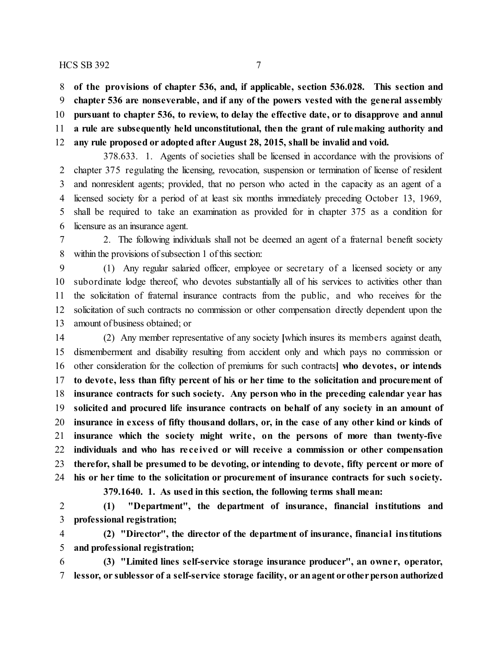#### $HCS$  SB 392 7

**of the provisions of chapter 536, and, if applicable, section 536.028. This section and**

**chapter 536 are nonseverable, and if any of the powers vested with the general assembly**

**pursuant to chapter 536, to review, to delay the effective date, or to disapprove and annul**

**a rule are subsequently held unconstitutional, then the grant of rulemaking authority and**

**any rule proposed or adopted after August 28, 2015, shall be invalid and void.**

378.633. 1. Agents of societies shall be licensed in accordance with the provisions of chapter 375 regulating the licensing, revocation, suspension or termination of license of resident and nonresident agents; provided, that no person who acted in the capacity as an agent of a licensed society for a period of at least six months immediately preceding October 13, 1969, shall be required to take an examination as provided for in chapter 375 as a condition for licensure as an insurance agent.

 2. The following individuals shall not be deemed an agent of a fraternal benefit society within the provisions of subsection 1 of this section:

 (1) Any regular salaried officer, employee or secretary of a licensed society or any subordinate lodge thereof, who devotes substantially all of his services to activities other than the solicitation of fraternal insurance contracts from the public, and who receives for the solicitation of such contracts no commission or other compensation directly dependent upon the amount of business obtained; or

 (2) Any member representative of any society **[**which insures its members against death, dismemberment and disability resulting from accident only and which pays no commission or other consideration for the collection of premiums for such contracts**] who devotes, or intends to devote, less than fifty percent of his or her time to the solicitation and procurement of insurance contracts for such society. Any person who in the preceding calendar year has solicited and procured life insurance contracts on behalf of any society in an amount of insurance in excess of fifty thousand dollars, or, in the case of any other kind or kinds of insurance which the society might write , on the persons of more than twenty-five individuals and who has re ce ived or will receive a commission or other compensation therefor, shall be presumed to be devoting, or intending to devote, fifty percent or more of his or her time to the solicitation or procurement of insurance contracts for such society.**

**379.1640. 1. As used in this section, the following terms shall mean:**

 **(1) "Department", the department of insurance, financial institutions and professional registration;**

 **(2) "Director", the director of the department of insurance, financial institutions and professional registration;**

 **(3) "Limited lines self-service storage insurance producer", an owne r, operator, lessor, or sublessor of a self-service storage facility, or anagent orotherperson authorized**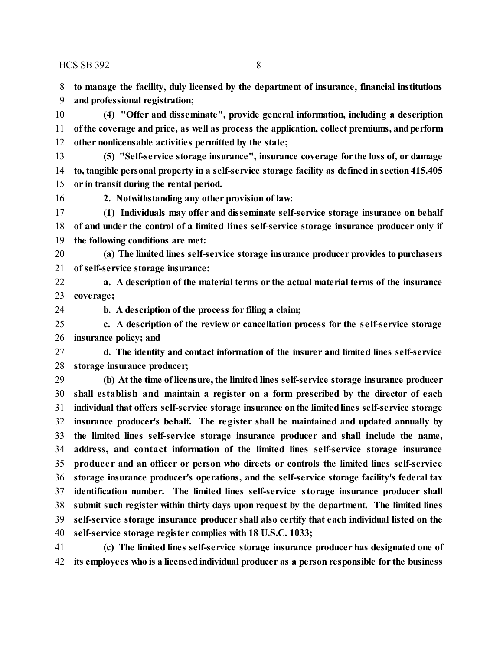$HCSSB 392$  8

**to manage the facility, duly licensed by the department of insurance, financial institutions**

**and professional registration;**

 **(4) "Offer and disseminate", provide general information, including a description ofthe coverage and price, as well as process the application, collect premiums, andperform other nonlicensable activities permitted by the state;**

 **(5) "Self-service storage insurance", insurance coverage for the loss of, or damage to, tangible personal property in a self-service storage facility as defined in section415.405 or in transit during the rental period.**

**2. Notwithstanding any other provision of law:**

 **(1) Individuals may offer and disseminate self-service storage insurance on behalf of and under the control of a limited lines self-service storage insurance producer only if the following conditions are met:**

 **(a) The limited lines self-service storage insurance producer provides to purchasers of self-service storage insurance:**

 **a. A description of the material terms or the actual material terms of the insurance coverage;**

**b. A description of the process for filing a claim;**

 **c. A description of the review or cancellation process for the se lf-service storage insurance policy; and**

 **d. The identity and contact information of the insurer and limited lines self-service storage insurance producer;**

 **(b) Atthe time oflicensure, the limited lines self-service storage insurance producer shall establish and maintain a register on a form prescribed by the director of each individual that offers self-service storage insurance onthe limitedlines self-service storage insurance producer's behalf. The register shall be maintained and updated annually by the limited lines self-service storage insurance producer and shall include the name, address, and contact information of the limited lines self-service storage insurance produce r and an officer or person who directs or controls the limited lines self-service storage insurance producer's operations, and the self-service storage facility's federal tax identification number. The limited lines self-service storage insurance producer shall submit such register within thirty days upon request by the department. The limited lines self-service storage insurance producer shall also certify that each individual listed on the self-service storage register complies with 18 U.S.C. 1033;**

 **(c) The limited lines self-service storage insurance producer has designated one of its employees who is a licensedindividual producer as a person responsible for the business**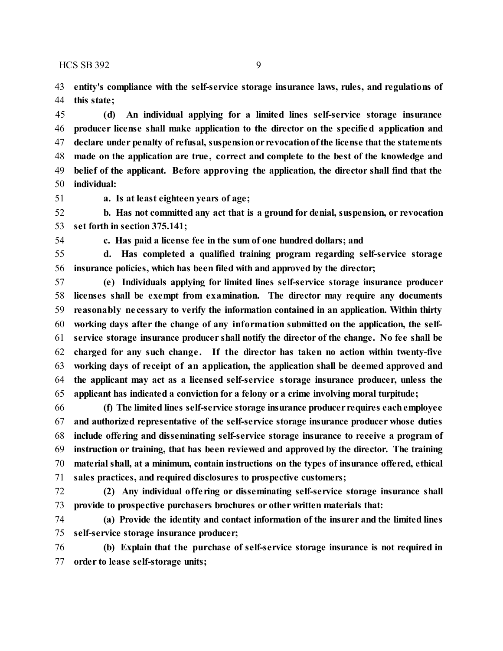$HCSSB 392$  9

 **entity's compliance with the self-service storage insurance laws, rules, and regulations of this state;**

 **(d) An individual applying for a limited lines self-service storage insurance producer license shall make application to the director on the specified application and declare under penalty of refusal, suspensionor revocationofthe license thatthe statements made on the application are true , correct and complete to the best of the knowledge and belief of the applicant. Before approving the application, the director shall find that the individual:**

**a. Is at least eighteen years of age;**

 **b. Has not committed any act that is a ground for denial, suspension, or revocation set forth in section 375.141;**

**c. Has paid a license fee in the sum of one hundred dollars; and**

 **d. Has completed a qualified training program regarding self-service storage insurance policies, which has been filed with and approved by the director;**

 **(e) Individuals applying for limited lines self-service storage insurance producer licenses shall be exempt from examination. The director may require any documents reasonably ne cessary to verify the information contained in an application. Within thirty working days after the change of any information submitted on the application, the self- service storage insurance producer shall notify the director of the change. No fee shall be charged for any such change . If the director has taken no action within twenty-five working days of receipt of an application, the application shall be deemed approved and the applicant may act as a licensed self-service storage insurance producer, unless the applicant has indicated a conviction for a felony or a crime involving moral turpitude;**

 **(f) The limited lines self-service storage insurance producer requires eachemployee and authorized representative of the self-service storage insurance producer whose duties include offering and disseminating self-service storage insurance to receive a program of instruction or training, that has been reviewed and approved by the director. The training material shall, at a minimum, contain instructions on the types of insurance offered, ethical sales practices, and required disclosures to prospective customers;**

 **(2) Any individual offe ring or disseminating self-service storage insurance shall provide to prospective purchasers brochures or other written materials that:**

 **(a) Provide the identity and contact information of the insurer and the limited lines self-service storage insurance producer;**

 **(b) Explain that the purchase of self-service storage insurance is not required in order to lease self-storage units;**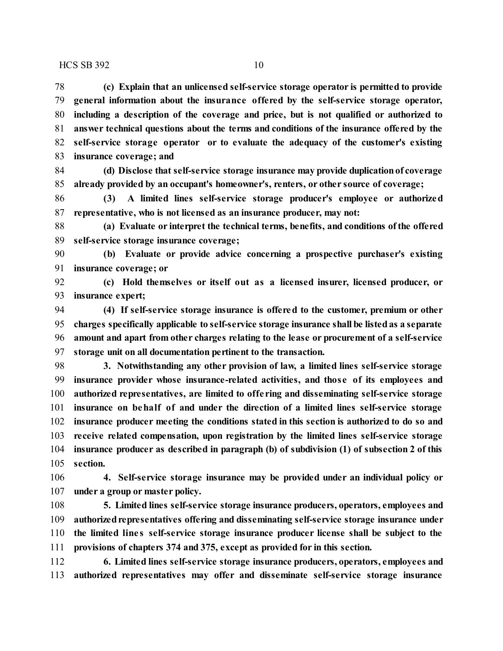**(c) Explain that an unlicensed self-service storage operator is permitted to provide general information about the insurance offered by the self-service storage operator, including a description of the coverage and price, but is not qualified or authorized to answer technical questions about the terms and conditions of the insurance offered by the self-service storage operator or to evaluate the adequacy of the customer's existing insurance coverage; and**

 **(d) Disclose that self-service storage insurance may provide duplicationof coverage already provided by an occupant's homeowner's, renters, or other source of coverage;**

 **(3) A limited lines self-service storage producer's employee or authorized representative, who is not licensed as an insurance producer, may not:**

 **(a) Evaluate or interpret the technical terms, benefits, and conditions ofthe offered self-service storage insurance coverage;**

 **(b) Evaluate or provide advice concerning a prospective purchaser's existing insurance coverage; or**

 **(c) Hold themselves or itself out as a licensed insurer, licensed producer, or insurance expert;**

 **(4) If self-service storage insurance is offered to the customer, premium or other charges specifically applicable to self-service storage insurance shall be listedas a separate amount and apart from other charges relating to the lease or procurement of a self-service storage unit on all documentation pertinent to the transaction.**

 **3. Notwithstanding any other provision of law, a limited lines self-service storage insurance provider whose insurance-related activities, and those of its employees and authorized representatives, are limited to offe ring and disseminating self-service storage insurance on behalf of and under the direction of a limited lines self-service storage insurance producer meeting the conditions stated in this section is authorized to do so and receive related compensation, upon registration by the limited lines self-service storage insurance producer as described in paragraph (b) of subdivision (1) of subsection 2 of this section.**

 **4. Self-service storage insurance may be provided under an individual policy or under a group or master policy.**

 **5. Limited lines self-service storage insurance producers, operators, employees and** 109 authorized representatives offering and disseminating self-service storage insurance under **the limited line s self-service storage insurance producer license shall be subject to the provisions of chapters 374 and 375, except as provided for in this section.**

 **6. Limited lines self-service storage insurance producers, operators, employees and authorized representatives may offer and disseminate self-service storage insurance**